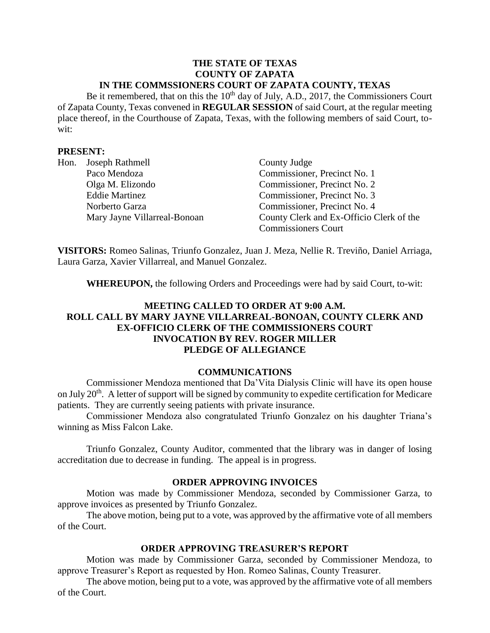#### **THE STATE OF TEXAS COUNTY OF ZAPATA IN THE COMMSSIONERS COURT OF ZAPATA COUNTY, TEXAS**

Be it remembered, that on this the  $10<sup>th</sup>$  day of July, A.D., 2017, the Commissioners Court of Zapata County, Texas convened in **REGULAR SESSION** of said Court, at the regular meeting place thereof, in the Courthouse of Zapata, Texas, with the following members of said Court, towit:

### **PRESENT:**

| Hon. | Joseph Rathmell              | County Judge                             |
|------|------------------------------|------------------------------------------|
|      | Paco Mendoza                 | Commissioner, Precinct No. 1             |
|      | Olga M. Elizondo             | Commissioner, Precinct No. 2             |
|      | <b>Eddie Martinez</b>        | Commissioner, Precinct No. 3             |
|      | Norberto Garza               | Commissioner, Precinct No. 4             |
|      | Mary Jayne Villarreal-Bonoan | County Clerk and Ex-Officio Clerk of the |
|      |                              | <b>Commissioners Court</b>               |

**VISITORS:** Romeo Salinas, Triunfo Gonzalez, Juan J. Meza, Nellie R. Treviño, Daniel Arriaga, Laura Garza, Xavier Villarreal, and Manuel Gonzalez.

**WHEREUPON,** the following Orders and Proceedings were had by said Court, to-wit:

# **MEETING CALLED TO ORDER AT 9:00 A.M. ROLL CALL BY MARY JAYNE VILLARREAL-BONOAN, COUNTY CLERK AND EX-OFFICIO CLERK OF THE COMMISSIONERS COURT INVOCATION BY REV. ROGER MILLER PLEDGE OF ALLEGIANCE**

## **COMMUNICATIONS**

Commissioner Mendoza mentioned that Da'Vita Dialysis Clinic will have its open house on July 20<sup>th</sup>. A letter of support will be signed by community to expedite certification for Medicare patients. They are currently seeing patients with private insurance.

Commissioner Mendoza also congratulated Triunfo Gonzalez on his daughter Triana's winning as Miss Falcon Lake.

Triunfo Gonzalez, County Auditor, commented that the library was in danger of losing accreditation due to decrease in funding. The appeal is in progress.

#### **ORDER APPROVING INVOICES**

Motion was made by Commissioner Mendoza, seconded by Commissioner Garza, to approve invoices as presented by Triunfo Gonzalez.

The above motion, being put to a vote, was approved by the affirmative vote of all members of the Court.

## **ORDER APPROVING TREASURER'S REPORT**

Motion was made by Commissioner Garza, seconded by Commissioner Mendoza, to approve Treasurer's Report as requested by Hon. Romeo Salinas, County Treasurer.

The above motion, being put to a vote, was approved by the affirmative vote of all members of the Court.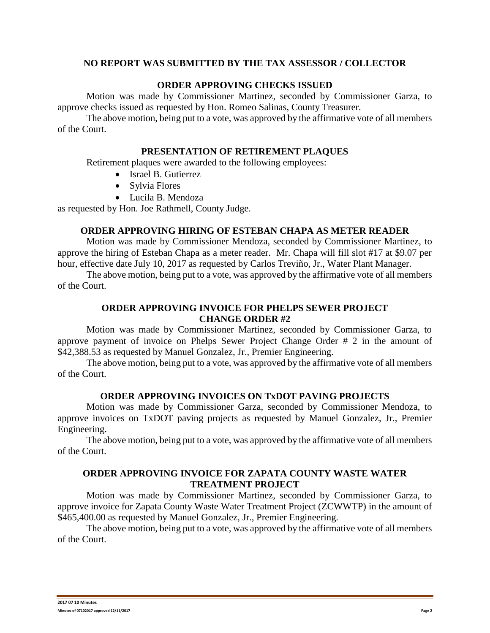## **NO REPORT WAS SUBMITTED BY THE TAX ASSESSOR / COLLECTOR**

### **ORDER APPROVING CHECKS ISSUED**

Motion was made by Commissioner Martinez, seconded by Commissioner Garza, to approve checks issued as requested by Hon. Romeo Salinas, County Treasurer.

The above motion, being put to a vote, was approved by the affirmative vote of all members of the Court.

#### **PRESENTATION OF RETIREMENT PLAQUES**

Retirement plaques were awarded to the following employees:

- Israel B. Gutierrez
- Sylvia Flores
- Lucila B. Mendoza

as requested by Hon. Joe Rathmell, County Judge.

#### **ORDER APPROVING HIRING OF ESTEBAN CHAPA AS METER READER**

Motion was made by Commissioner Mendoza, seconded by Commissioner Martinez, to approve the hiring of Esteban Chapa as a meter reader. Mr. Chapa will fill slot #17 at \$9.07 per hour, effective date July 10, 2017 as requested by Carlos Treviño, Jr., Water Plant Manager.

The above motion, being put to a vote, was approved by the affirmative vote of all members of the Court.

## **ORDER APPROVING INVOICE FOR PHELPS SEWER PROJECT CHANGE ORDER #2**

Motion was made by Commissioner Martinez, seconded by Commissioner Garza, to approve payment of invoice on Phelps Sewer Project Change Order # 2 in the amount of \$42,388.53 as requested by Manuel Gonzalez, Jr., Premier Engineering.

The above motion, being put to a vote, was approved by the affirmative vote of all members of the Court.

## **ORDER APPROVING INVOICES ON TxDOT PAVING PROJECTS**

Motion was made by Commissioner Garza, seconded by Commissioner Mendoza, to approve invoices on TxDOT paving projects as requested by Manuel Gonzalez, Jr., Premier Engineering.

The above motion, being put to a vote, was approved by the affirmative vote of all members of the Court.

# **ORDER APPROVING INVOICE FOR ZAPATA COUNTY WASTE WATER TREATMENT PROJECT**

Motion was made by Commissioner Martinez, seconded by Commissioner Garza, to approve invoice for Zapata County Waste Water Treatment Project (ZCWWTP) in the amount of \$465,400.00 as requested by Manuel Gonzalez, Jr., Premier Engineering.

The above motion, being put to a vote, was approved by the affirmative vote of all members of the Court.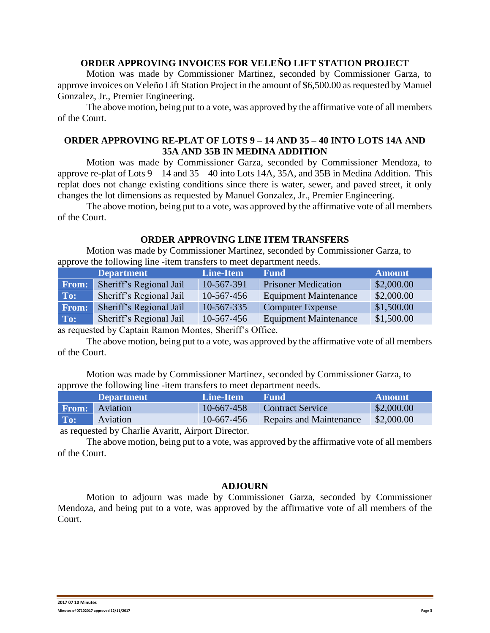# **ORDER APPROVING INVOICES FOR VELEÑO LIFT STATION PROJECT**

Motion was made by Commissioner Martinez, seconded by Commissioner Garza, to approve invoices on Veleño Lift Station Project in the amount of \$6,500.00 as requested by Manuel Gonzalez, Jr., Premier Engineering.

The above motion, being put to a vote, was approved by the affirmative vote of all members of the Court.

## **ORDER APPROVING RE-PLAT OF LOTS 9 – 14 AND 35 – 40 INTO LOTS 14A AND 35A AND 35B IN MEDINA ADDITION**

Motion was made by Commissioner Garza, seconded by Commissioner Mendoza, to approve re-plat of Lots  $9 - 14$  and  $35 - 40$  into Lots 14A, 35A, and 35B in Medina Addition. This replat does not change existing conditions since there is water, sewer, and paved street, it only changes the lot dimensions as requested by Manuel Gonzalez, Jr., Premier Engineering.

The above motion, being put to a vote, was approved by the affirmative vote of all members of the Court.

### **ORDER APPROVING LINE ITEM TRANSFERS**

Motion was made by Commissioner Martinez, seconded by Commissioner Garza, to approve the following line -item transfers to meet department needs.

|              | <b>Department</b>       | Line-Item  | <b>Fund</b>                  | <b>Amount</b> |  |  |
|--------------|-------------------------|------------|------------------------------|---------------|--|--|
| From:        | Sheriff's Regional Jail | 10-567-391 | <b>Prisoner Medication</b>   | \$2,000.00    |  |  |
| To:          | Sheriff's Regional Jail | 10-567-456 | <b>Equipment Maintenance</b> | \$2,000.00    |  |  |
| <b>From:</b> | Sheriff's Regional Jail | 10-567-335 | <b>Computer Expense</b>      | \$1,500.00    |  |  |
| To:          | Sheriff's Regional Jail | 10-567-456 | <b>Equipment Maintenance</b> | \$1,500.00    |  |  |
|              |                         |            |                              |               |  |  |

as requested by Captain Ramon Montes, Sheriff's Office.

The above motion, being put to a vote, was approved by the affirmative vote of all members of the Court.

Motion was made by Commissioner Martinez, seconded by Commissioner Garza, to approve the following line -item transfers to meet department needs.

|     | <b>Department</b>     | Line-Item  | <b>Fund</b>             | <b>Amount</b> |
|-----|-----------------------|------------|-------------------------|---------------|
|     | <b>From:</b> Aviation | 10-667-458 | <b>Contract Service</b> | \$2,000.00    |
| To: | Aviation              | 10-667-456 | Repairs and Maintenance | \$2,000.00    |

as requested by Charlie Avaritt, Airport Director.

The above motion, being put to a vote, was approved by the affirmative vote of all members of the Court.

#### **ADJOURN**

Motion to adjourn was made by Commissioner Garza, seconded by Commissioner Mendoza, and being put to a vote, was approved by the affirmative vote of all members of the Court.